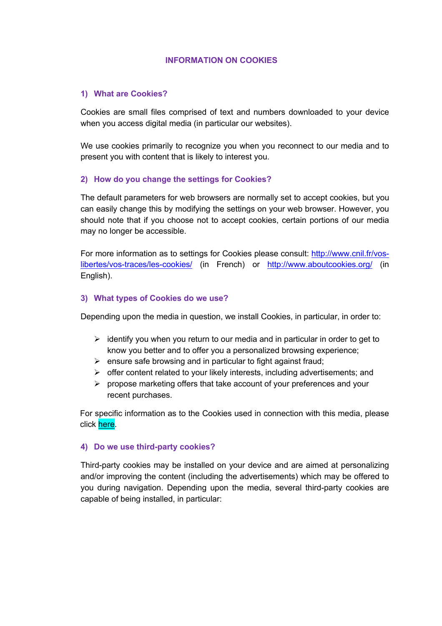## **INFORMATION ON COOKIES**

## **1) What are Cookies?**

Cookies are small files comprised of text and numbers downloaded to your device when you access digital media (in particular our websites).

We use cookies primarily to recognize you when you reconnect to our media and to present you with content that is likely to interest you.

## **2) How do you change the settings for Cookies?**

The default parameters for web browsers are normally set to accept cookies, but you can easily change this by modifying the settings on your web browser. However, you should note that if you choose not to accept cookies, certain portions of our media may no longer be accessible.

For more information as to settings for Cookies please consult: http://www.cnil.fr/voslibertes/vos-traces/les-cookies/ (in French) or http://www.aboutcookies.org/ (in English).

#### **3) What types of Cookies do we use?**

Depending upon the media in question, we install Cookies, in particular, in order to:

- $\geq$  identify you when you return to our media and in particular in order to get to know you better and to offer you a personalized browsing experience;
- $\triangleright$  ensure safe browsing and in particular to fight against fraud;
- $\triangleright$  offer content related to your likely interests, including advertisements; and
- $\triangleright$  propose marketing offers that take account of your preferences and your recent purchases.

For specific information as to the Cookies used in connection with this media, please click here.

#### **4) Do we use third-party cookies?**

Third-party cookies may be installed on your device and are aimed at personalizing and/or improving the content (including the advertisements) which may be offered to you during navigation. Depending upon the media, several third-party cookies are capable of being installed, in particular: